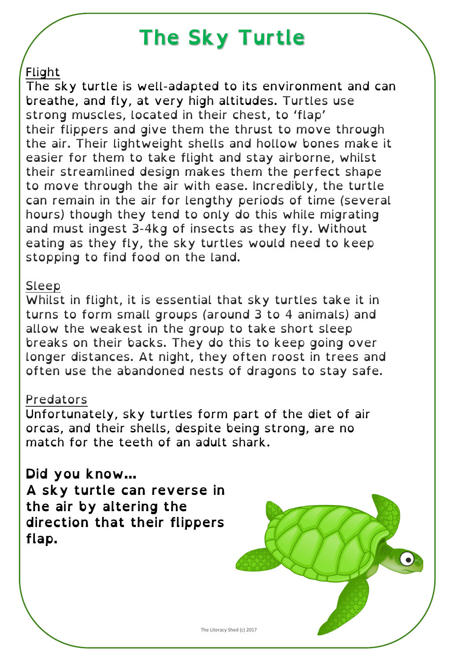## **The Sky Turtle**

### Flight

The sky turtle is well-adapted to its environment and can breathe, and fly, at very high altitudes. Turtles use strong muscles, located in their chest, to 'flap' their flippers and give them the thrust to move through the air. Their lightweight shells and hollow bones make it easier for them to take flight and stay airborne, whilst their streamlined design makes them the perfect shape to move through the air with ease. Incredibly, the turtle can remain in the air for lengthy periods of time (several hours) though they tend to only do this while migrating and must ingest 3-4kg of insects as they fly. Without eating as they fly, the sky turtles would need to keep stopping to find food on the land.

#### Sleep

Whilst in flight, it is essential that sky turtles take it in turns to form small groups (around 3 to 4 animals) and allow the weakest in the group to take short sleep breaks on their backs. They do this to keep going over longer distances. At night, they often roost in trees and often use the abandoned nests of dragons to stay safe.

#### Predators

Unfortunately, sky turtles form part of the diet of air orcas, and their shells, despite being strong, are no match for the teeth of an adult shark.

**Did you know…** the air by altering the **the air by altering the**<br>direction that their flin **direction that their flippers flap.**